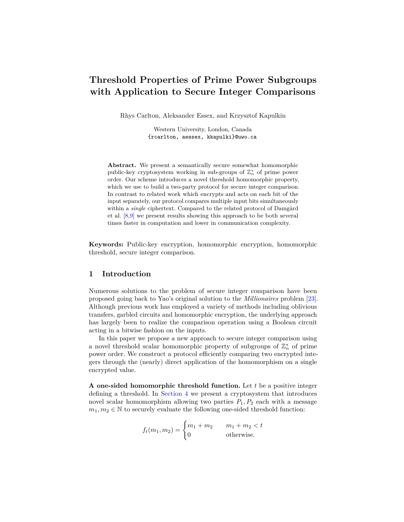# **Threshold Properties of Prime Power Subgroups with Application to Secure Integer Comparisons**

Rhys Carlton, Aleksander Essex, and Krzysztof Kapulkin

Western University, London, Canada {rcarlton, aessex, kkapulki}@uwo.ca

**Abstract.** We present a semantically secure somewhat homomorphic public-key cryptosystem working in sub-groups of  $\mathbb{Z}_n^*$  of prime power order. Our scheme introduces a novel threshold homomorphic property, which we use to build a two-party protocol for secure integer comparison. In contrast to related work which encrypts and acts on each bit of the input separately, our protocol compares multiple input bits simultaneously within a *single* ciphertext. Compared to the related protocol of Damgård et al. [\[8](#page-18-0)[,9\]](#page-18-1) we present results showing this approach to be both several times faster in computation and lower in communication complexity.

**Keywords:** Public-key encryption, homomorphic encryption, homomorphic threshold, secure integer comparison.

# **1 Introduction**

Numerous solutions to the problem of secure integer comparison have been proposed going back to Yao's original solution to the *Millionaires* problem [\[23\]](#page-19-0). Although previous work has employed a variety of methods including oblivious transfers, garbled circuits and homomorphic encryption, the underlying approach has largely been to realize the comparison operation using a Boolean circuit acting in a bitwise fashion on the inputs.

In this paper we propose a new approach to secure integer comparison using a novel threshold scalar homomorphic property of subgroups of  $\mathbb{Z}_n^*$  of prime power order. We construct a protocol efficiently comparing two encrypted integers through the (nearly) direct application of the homomorphism on a single encrypted value.

**A** one-sided homomorphic threshold function. Let t be a positive integer defining a threshold. In [Section 4](#page-5-0) we present a cryptosystem that introduces novel scalar homomorphism allowing two parties  $P_1, P_2$  each with a message  $m_1, m_2 \in \mathbb{N}$  to securely evaluate the following one-sided threshold function:

$$
f_t(m_1, m_2) = \begin{cases} m_1 + m_2 & m_1 + m_2 < t \\ 0 & \text{otherwise.} \end{cases}
$$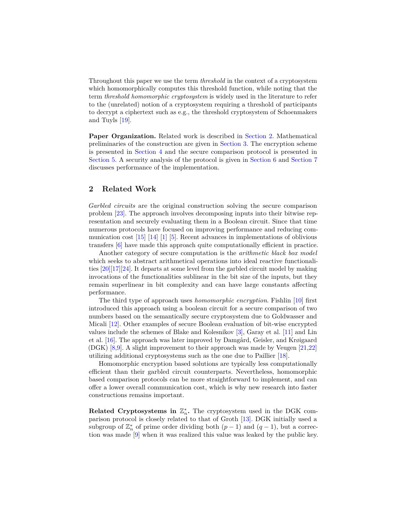Throughout this paper we use the term *threshold* in the context of a cryptosystem which homomorphically computes this threshold function, while noting that the term *threshold homomorphic cryptosystem* is widely used in the literature to refer to the (unrelated) notion of a cryptosystem requiring a threshold of participants to decrypt a ciphertext such as e.g., the threshold cryptosystem of Schoenmakers and Tuyls [\[19\]](#page-19-1).

**Paper Organization.** Related work is described in [Section 2.](#page-1-0) Mathematical preliminaries of the construction are given in [Section 3.](#page-2-0) The encryption scheme is presented in [Section 4](#page-5-0) and the secure comparison protocol is presented in [Section 5.](#page-8-0) A security analysis of the protocol is given in [Section 6](#page-12-0) and [Section 7](#page-14-0) discusses performance of the implementation.

# <span id="page-1-0"></span>**2 Related Work**

*Garbled circuits* are the original construction solving the secure comparison problem [\[23\]](#page-19-0). The approach involves decomposing inputs into their bitwise representation and securely evaluating them in a Boolean circuit. Since that time numerous protocols have focused on improving performance and reducing communication cost [\[15\]](#page-19-2) [\[14\]](#page-19-3) [\[1\]](#page-18-2) [\[5\]](#page-18-3). Recent advances in implementations of oblivious transfers [\[6\]](#page-18-4) have made this approach quite computationally efficient in practice.

Another category of secure computation is the *arithmetic black box model* which seeks to abstract arithmetical operations into ideal reactive functionalities [\[20\]](#page-19-4)[\[17\]](#page-19-5)[\[24\]](#page-19-6). It departs at some level from the garbled circuit model by making invocations of the functionalities sublinear in the bit size of the inputs, but they remain superlinear in bit complexity and can have large constants affecting performance.

The third type of approach uses *homomorphic encryption*. Fishlin [\[10\]](#page-18-5) first introduced this approach using a boolean circuit for a secure comparison of two numbers based on the semantically secure cryptosystem due to Goldwasser and Micali [\[12\]](#page-18-6). Other examples of secure Boolean evaluation of bit-wise encrypted values include the schemes of Blake and Kolesnikov [\[3\]](#page-18-7), Garay et al. [\[11\]](#page-18-8) and Lin et al. [\[16\]](#page-19-7). The approach was later improved by Damgård, Geisler, and Krøigaard (DGK) [\[8,](#page-18-0)[9\]](#page-18-1). A slight improvement to their approach was made by Veugen [\[21](#page-19-8)[,22\]](#page-19-9) utilizing additional cryptosystems such as the one due to Paillier [\[18\]](#page-19-10).

Homomorphic encryption based solutions are typically less computationally efficient than their garbled circuit counterparts. Nevertheless, homomorphic based comparison protocols can be more straightforward to implement, and can offer a lower overall communication cost, which is why new research into faster constructions remains important.

**Related Cryptosystems in**  $\mathbb{Z}_n^*$ **.** The cryptosystem used in the DGK comparison protocol is closely related to that of Groth [\[13\]](#page-19-11). DGK initially used a subgroup of  $\mathbb{Z}_n^*$  of prime order dividing both  $(p-1)$  and  $(q-1)$ , but a correction was made [\[9\]](#page-18-1) when it was realized this value was leaked by the public key.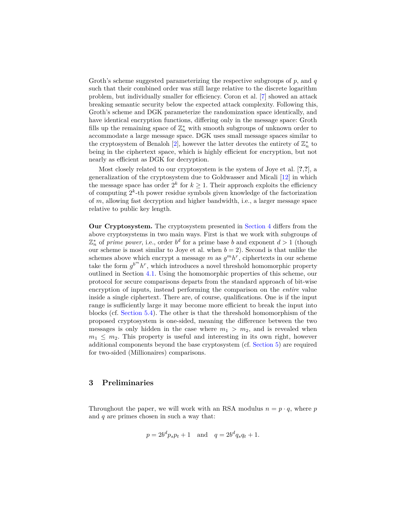Groth's scheme suggested parameterizing the respective subgroups of  $p$ , and  $q$ such that their combined order was still large relative to the discrete logarithm problem, but individually smaller for efficiency. Coron et al. [\[7\]](#page-18-9) showed an attack breaking semantic security below the expected attack complexity. Following this, Groth's scheme and DGK parameterize the randomization space identically, and have identical encryption functions, differing only in the message space: Groth fills up the remaining space of  $\mathbb{Z}_n^*$  with smooth subgroups of unknown order to accommodate a large message space. DGK uses small message spaces similar to the cryptosystem of Benaloh [\[2\]](#page-18-10), however the latter devotes the entirety of  $\mathbb{Z}_n^*$  to being in the ciphertext space, which is highly efficient for encryption, but not nearly as efficient as DGK for decryption.

Most closely related to our cryptosystem is the system of Joye et al. [**?**,**?**], a generalization of the cryptosystem due to Goldwasser and Micali [\[12\]](#page-18-6) in which the message space has order  $2^k$  for  $k \geq 1$ . Their approach exploits the efficiency of computing  $2^k$ -th power residue symbols given knowledge of the factorization of  $m$ , allowing fast decryption and higher bandwidth, i.e., a larger message space relative to public key length.

**Our Cryptosystem.** The cryptosystem presented in [Section 4](#page-5-0) differs from the above cryptosystems in two main ways. First is that we work with subgroups of  $\mathbb{Z}_n^*$  of *prime power*, i.e., order  $b^d$  for a prime base *b* and exponent  $d > 1$  (though our scheme is most similar to Joye et al. when  $b = 2$ ). Second is that unlike the schemes above which encrypt a message  $m$  as  $g^m h^r$ , ciphertexts in our scheme take the form  $g^{b^m} h^r$ , which introduces a novel threshold homomorphic property outlined in Section [4.1.](#page-7-0) Using the homomorphic properties of this scheme, our protocol for secure comparisons departs from the standard approach of bit-wise encryption of inputs, instead performing the comparison on the *entire* value inside a single ciphertext. There are, of course, qualifications. One is if the input range is sufficiently large it may become more efficient to break the input into blocks (cf. [Section 5.4\)](#page-11-0). The other is that the threshold homomorphism of the proposed cryptosystem is one-sided, meaning the difference between the two messages is only hidden in the case where  $m_1 > m_2$ , and is revealed when  $m_1 \leq m_2$ . This property is useful and interesting in its own right, however additional components beyond the base cryptosystem (cf. [Section 5\)](#page-8-0) are required for two-sided (Millionaires) comparisons.

# <span id="page-2-0"></span>**3 Preliminaries**

Throughout the paper, we will work with an RSA modulus  $n = p \cdot q$ , where p and  $q$  are primes chosen in such a way that:

$$
p = 2b^d p_s p_t + 1
$$
 and  $q = 2b^d q_s q_t + 1$ .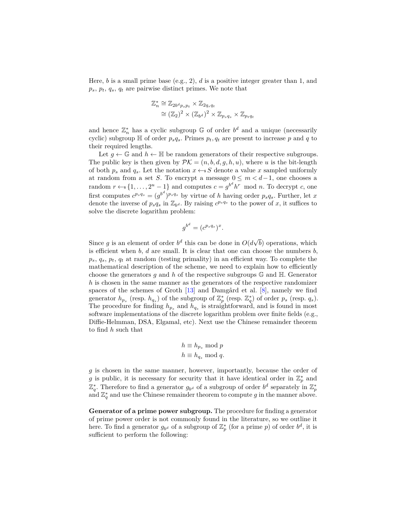Here, b is a small prime base (e.g., 2),  $d$  is a positive integer greater than 1, and  $p_s, p_t, q_s, q_t$  are pairwise distinct primes. We note that

$$
\mathbb{Z}_n^* \cong \mathbb{Z}_{2b^d p_s p_t} \times \mathbb{Z}_{2q_s q_t}
$$
  
\n
$$
\cong (\mathbb{Z}_2)^2 \times (\mathbb{Z}_{b^d})^2 \times \mathbb{Z}_{p_s q_s} \times \mathbb{Z}_{p_t q_t}
$$

and hence  $\mathbb{Z}_n^*$  has a cyclic subgroup  $\mathbb G$  of order  $b^d$  and a unique (necessarily cyclic) subgroup  $\mathbb H$  of order  $p_s q_s$ . Primes  $p_t, q_t$  are present to increase p and q to their required lengths.

Let  $q \leftarrow \mathbb{G}$  and  $h \leftarrow \mathbb{H}$  be random generators of their respective subgroups. The public key is then given by  $\mathcal{PK} = (n, b, d, g, h, u)$ , where u is the bit-length of both  $p_s$  and  $q_s$ . Let the notation  $x \leftarrow s S$  denote a value x sampled uniformly at random from a set *S*. To encrypt a message  $0 \leq m < d-1$ , one chooses a random  $r \leftarrow s \{1, \ldots, 2^u - 1\}$  and computes  $c = g^{b^d} h^r \mod n$ . To decrypt c, one first computes  $c^{p_s q_s} = (g^{b^d})^{p_s q_s}$  by virtue of *h* having order  $p_s q_s$ . Further, let x denote the inverse of  $p_s q_s$  in  $\mathbb{Z}_{b^d}$ . By raising  $c^{p_s q_s}$  to the power of x, it suffices to solve the discrete logarithm problem:

$$
g^{b^d} = (c^{p_s q_s})^x.
$$

Since g is an element of order  $b^d$  this can be done in  $O(d)$  $√($ ) operations, which is efficient when  $b$ ,  $d$  are small. It is clear that one can choose the numbers  $b$ ,  $p_s, q_s, p_t, q_t$  at random (testing primality) in an efficient way. To complete the mathematical description of the scheme, we need to explain how to efficiently choose the generators q and h of the respective subgroups  $\mathbb{G}$  and  $\mathbb{H}$ . Generator *h* is chosen in the same manner as the generators of the respective randomizer spaces of the schemes of Groth [\[13\]](#page-19-11) and Damgård et al. [\[8\]](#page-18-0), namely we find generator  $h_{p_s}$  (resp.  $h_{q_s}$ ) of the subgroup of  $\mathbb{Z}_p^*$  (resp.  $\mathbb{Z}_q^*$ ) of order  $p_s$  (resp.  $q_s$ ). The procedure for finding  $h_{p_s}$  and  $h_{q_s}$  is straightforward, and is found in most software implementations of the discrete logarithm problem over finite fields (e.g., Diffie-Helmman, DSA, Elgamal, etc). Next use the Chinese remainder theorem to find *ℎ* such that

$$
h \equiv h_{p_s} \mod p
$$
  

$$
h \equiv h_{q_s} \mod q.
$$

 $g$  is chosen in the same manner, however, importantly, because the order of g is public, it is necessary for security that it have identical order in  $\mathbb{Z}_p^*$  and  $\mathbb{Z}_q^*$ . Therefore to find a generator  $g_{b^d}$  of a subgroup of order  $b^d$  separately in  $\mathbb{Z}_p^*$ and  $\mathbb{Z}_q^*$  and use the Chinese remainder theorem to compute g in the manner above.

**Generator of a prime power subgroup.** The procedure for finding a generator of prime power order is not commonly found in the literature, so we outline it here. To find a generator  $g_{b^d}$  of a subgroup of  $\mathbb{Z}_p^*$  (for a prime p) of order  $b^d$ , it is sufficient to perform the following: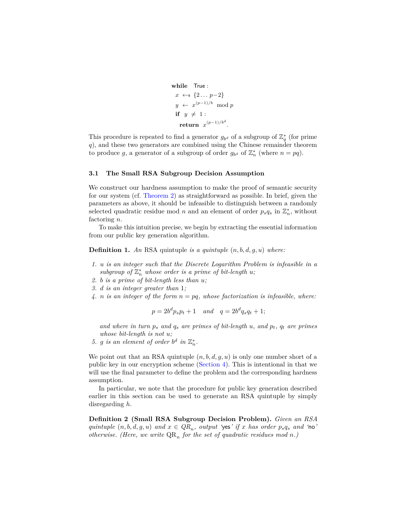```
while True :
  x \leftarrow s \{2... p-2\}y \leftarrow x^{(p-1)/b} \mod pif y \neq 1:
    \mathbf{return} \ \ x^{(p-1)/b^d}.
```
This procedure is repeated to find a generator  $g_{b^d}$  of a subgroup of  $\mathbb{Z}_q^*$  (for prime ), and these two generators are combined using the Chinese remainder theorem to produce g, a generator of a subgroup of order  $g_{b^d}$  of  $\mathbb{Z}_n^*$  (where  $n = pq$ ).

## **3.1 The Small RSA Subgroup Decision Assumption**

We construct our hardness assumption to make the proof of semantic security for our system (cf. [Theorem 2\)](#page-7-1) as straightforward as possible. In brief, given the parameters as above, it should be infeasible to distinguish between a randomly selected quadratic residue mod *n* and an element of order  $p_s q_s$  in  $\mathbb{Z}_n^*$ , without factoring  $n$ .

To make this intuition precise, we begin by extracting the essential information from our public key generation algorithm.

**Definition 1.** An RSA quintuple *is a quintuple*  $(n, b, d, g, u)$  *where:* 

- *1. is an integer such that the Discrete Logarithm Problem is infeasible in a*  $subgroup of \mathbb{Z}_{n}^{*}$  whose order is a prime of bit-length  $u$ ;
- *2. is a prime of bit-length less than ;*
- *3. is an integer greater than* 1*;*
- 4. *n* is an integer of the form  $n = pq$ , whose factorization is infeasible, where:

$$
p = 2b^d p_s p_t + 1 \quad and \quad q = 2b^d q_s q_t + 1;
$$

and where in turn  $p_s$  and  $q_s$  are primes of bit-length  $u$ , and  $p_t$ ,  $q_t$  are primes *whose bit-length is not u*;

5. g is an element of order  $b^d$  in  $\mathbb{Z}_n^*$ .

We point out that an RSA quintuple  $(n, b, d, g, u)$  is only one number short of a public key in our encryption scheme [\(Section 4\)](#page-5-0). This is intentional in that we will use the final parameter to define the problem and the corresponding hardness assumption.

In particular, we note that the procedure for public key generation described earlier in this section can be used to generate an RSA quintuple by simply disregarding *ℎ*.

**Definition 2 (Small RSA Subgroup Decision Problem).** *Given an RSA quintuple*  $(n, b, d, g, u)$  *and*  $x \in QR_n$ , *output* 'yes' *if* x *has order*  $p_s q_s$  *and* 'no' *otherwise. (Here, we write*  $QR_n$  *for the set of quadratic residues mod n.)*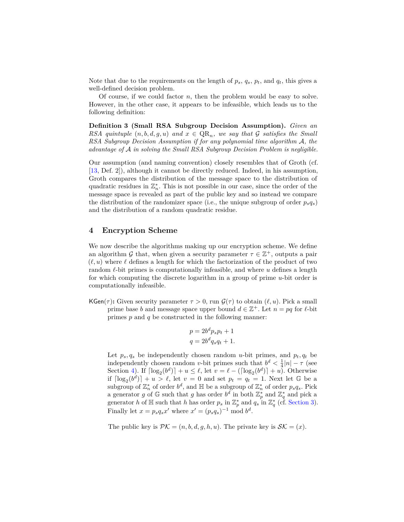Note that due to the requirements on the length of  $p_s$ ,  $q_s$ ,  $p_t$ , and  $q_t$ , this gives a well-defined decision problem.

Of course, if we could factor  $n$ , then the problem would be easy to solve. However, in the other case, it appears to be infeasible, which leads us to the following definition:

<span id="page-5-1"></span>**Definition 3 (Small RSA Subgroup Decision Assumption).** *Given an RSA quintuple*  $(n, b, d, g, u)$  *and*  $x \in QR_n$ *, we say that*  $G$  *satisfies the Small RSA Subgroup Decision Assumption if for any polynomial time algorithm A, the advantage of in solving the Small RSA Subgroup Decision Problem is negligible.*

Our assumption (and naming convention) closely resembles that of Groth (cf. [\[13,](#page-19-11) Def. 2]), although it cannot be directly reduced. Indeed, in his assumption, Groth compares the distribution of the message space to the distribution of quadratic residues in  $\mathbb{Z}_n^*$ . This is not possible in our case, since the order of the message space is revealed as part of the public key and so instead we compare the distribution of the randomizer space (i.e., the unique subgroup of order  $p_s q_s$ ) and the distribution of a random quadratic residue.

# <span id="page-5-0"></span>**4 Encryption Scheme**

We now describe the algorithms making up our encryption scheme. We define an algorithm G that, when given a security parameter  $\tau \in \mathbb{Z}^+$ , outputs a pair  $(\ell, u)$  where  $\ell$  defines a length for which the factorization of the product of two random  $\ell$ -bit primes is computationally infeasible, and where  $u$  defines a length for which computing the discrete logarithm in a group of prime  $u$ -bit order is computationally infeasible.

KGen( $\tau$ ): Given security parameter  $\tau > 0$ , run  $\mathcal{G}(\tau)$  to obtain  $(\ell, u)$ . Pick a small prime base *b* and message space upper bound  $d \in \mathbb{Z}^+$ . Let  $n = pq$  for  $\ell$ -bit

primes  $p$  and  $q$  be constructed in the following manner:

$$
p = 2b^d p_s p_t + 1
$$

$$
q = 2b^d q_s q_t + 1.
$$

Let  $p_s, q_s$  be independently chosen random u-bit primes, and  $p_t, q_t$  be independently chosen random v-bit primes such that  $b^d < \frac{1}{4}|n| - \tau$  (see Section [4\)](#page-6-0). If  $\lceil \log_2(b^d) \rceil + u \leq \ell$ , let  $v = \ell - (\lceil \log_2(b^d) \rceil + u)$ . Otherwise if  $\lceil \log_2(b^d) \rceil + u > \ell$ , let  $v = 0$  and set  $p_t = q_t = 1$ . Next let G be a subgroup of  $\mathbb{Z}_n^*$  of order  $b^d$ , and  $\mathbb{H}$  be a subgroup of  $\mathbb{Z}_n^*$  of order  $p_s q_s$ . Pick a generator g of G such that g has order  $b^d$  in both  $\mathbb{Z}_p^*$  and  $\mathbb{Z}_q^*$  and pick a generator *h* of H such that *h* has order  $p_s$  in  $\mathbb{Z}_p^*$  and  $q_s$  in  $\mathbb{Z}_q^*$  (cf. [Section 3\)](#page-2-0). Finally let  $x = p_s q_s x'$  where  $x' = (p_s q_s)^{-1} \text{ mod } b^d$ .

The public key is  $\mathcal{PK} = (n, b, d, g, h, u)$ . The private key is  $\mathcal{SK} = (x)$ .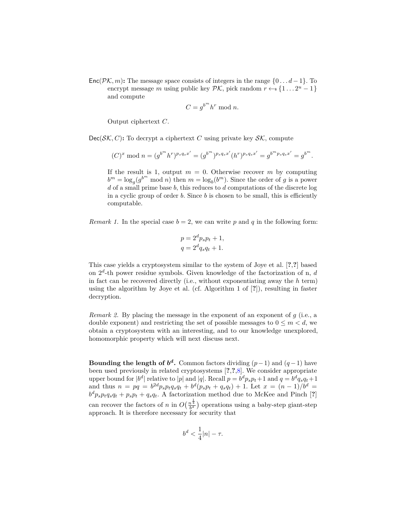Enc( $\mathcal{PK}, m$ ): The message space consists of integers in the range  $\{0 \dots d-1\}$ . To encrypt message *m* using public key  $\mathcal{PK}$ , pick random  $r \leftarrow s \{1...2^u - 1\}$ and compute

$$
C = g^{b^m} h^r \bmod n.
$$

Output ciphertext  $C$ .

 $Dec(\mathcal{SK}, C)$ : To decrypt a ciphertext C using private key  $\mathcal{SK}$ , compute

$$
(C)^{x} \bmod n = (g^{b^{m}}h^{r})^{p_{s}q_{s}x'} = (g^{b^{m}})^{p_{s}q_{s}x'}(h^{r})^{p_{s}q_{s}x'} = g^{b^{m}p_{s}q_{s}x'} = g^{b^{m}}.
$$

If the result is 1, output  $m = 0$ . Otherwise recover m by computing  $b^m = \log_g(g^{b^m} \mod n)$  then  $m = \log_b(b^m)$ . Since the order of g is a power d of a small prime base  $b$ , this reduces to  $d$  computations of the discrete log in a cyclic group of order  $b$ . Since  $b$  is chosen to be small, this is efficiently computable.

*Remark 1.* In the special case  $b = 2$ , we can write p and q in the following form:

$$
p = 2d ps pt + 1,
$$
  

$$
q = 2d qs qt + 1.
$$

This case yields a cryptosystem similar to the system of Joye et al. [**?**,**?**] based on  $2^d$ -th power residue symbols. Given knowledge of the factorization of n, d in fact can be recovered directly (i.e., without exponentiating away the *ℎ* term) using the algorithm by Joye et al. (cf. Algorithm 1 of [**?**]), resulting in faster decryption.

*Remark 2.* By placing the message in the exponent of an exponent of  $g$  (i.e., a double exponent) and restricting the set of possible messages to  $0 \leq m < d$ , we obtain a cryptosystem with an interesting, and to our knowledge unexplored, homomorphic property which will next discuss next.

<span id="page-6-0"></span>**Bounding the length of**  $b^d$ **.** Common factors dividing  $(p-1)$  and  $(q-1)$  have been used previously in related cryptosystems [**?**,**?**[,8\]](#page-18-0). We consider appropriate upper bound for  $|b^d|$  relative to |p| and |q|. Recall  $p = b^d p_s p_t + 1$  and  $q = b^d q_s q_t + 1$ and thus  $n = pq = b^{2d}p_s p_t q_s q_t + b^d (p_s p_t + q_s q_t) + 1$ . Let  $x = (n-1)/b^d$  $b^d p_s p_t q_s q_t + p_s p_t + q_s q_t$ . A factorization method due to McKee and Pinch [?] can recover the factors of *n* in  $O(\frac{n^{\frac{1}{4}}}{b^d})$  operations using a baby-step giant-step approach. It is therefore necessary for security that

$$
b^d < \frac{1}{4}|n| - \tau.
$$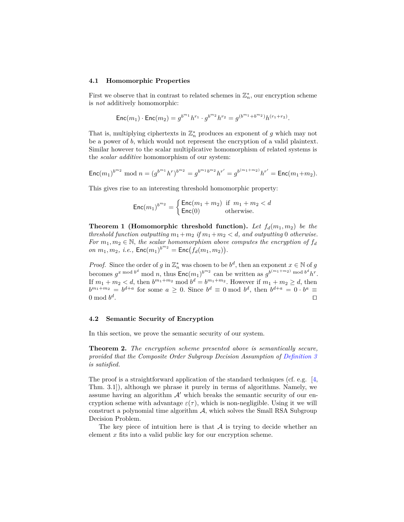#### <span id="page-7-0"></span>**4.1 Homomorphic Properties**

First we observe that in contrast to related schemes in  $\mathbb{Z}_n^*$ , our encryption scheme is *not* additively homomorphic:

$$
\mathsf{Enc}(m_1) \cdot \mathsf{Enc}(m_2) = g^{b^{m_1}} h^{r_1} \cdot g^{b^{m_2}} h^{r_2} = g^{(b^{m_1} + b^{m_2})} h^{(r_1 + r_2)}.
$$

That is, multiplying ciphertexts in  $\mathbb{Z}_n^*$  produces an exponent of  $g$  which may not be a power of  $b$ , which would not represent the encryption of a valid plaintext. Similar however to the scalar multiplicative homomorphism of related systems is the *scalar additive* homomorphism of our system:

$$
\operatorname{Enc}(m_1)^{b^{m_2}} \bmod n = (g^{b^{m_1}}h^r)^{b^{m_2}} = g^{b^{m_1}b^{m_2}}h^{r'} = g^{b^{(m_1+m_2)}}h^{r'} = \operatorname{Enc}(m_1+m_2).
$$

This gives rise to an interesting threshold homomorphic property:

$$
\text{Enc}(m_1)^{b^{m_2}} = \begin{cases} \text{Enc}(m_1 + m_2) & \text{if } m_1 + m_2 < d \\ \text{Enc}(0) & \text{otherwise.} \end{cases}
$$

**Theorem 1 (Homomorphic threshold function).** Let  $f_d(m_1, m_2)$  be the *threshold function outputting*  $m_1 + m_2$  *if*  $m_1 + m_2 < d$ *, and outputting* 0 *otherwise. For*  $m_1, m_2 \in \mathbb{N}$ , the scalar homomorphism above computes the encryption of  $f_d$  $\sum_{i=1}^{n} n_i, m_2, i.e., \text{Enc}(m_1)^{b^{m_2}} = \text{Enc}(\hat{f}_d(m_1, m_2)).$ 

*Proof.* Since the order of  $g$  in  $\mathbb{Z}_n^*$  was chosen to be  $b^d$ , then an exponent  $x \in \mathbb{N}$  of  $g$ becomes  $g^{x \bmod b^d}$  mod n, thus  $\mathsf{Enc}(m_1)^{b^{m_2}}$  can be written as  $g^{b^{(m_1+m_2)} \bmod b^d} h^r$ . If  $m_1 + m_2 < d$ , then  $b^{m_1+m_2}$  mod  $b^d = b^{m_1+m_2}$ . However if  $m_1 + m_2 \ge d$ , then  $b^{m_1+m_2}=b^{d+a}$  for some  $a\geq 0$ . Since  $b^d\equiv 0$  mod  $b^d$ , then  $b^{d+a}=0 \cdot b^a\equiv 0$  $0 \bmod{b^d}$ . ⊓⊔

## **4.2 Semantic Security of Encryption**

<span id="page-7-1"></span>In this section, we prove the semantic security of our system.

**Theorem 2.** *The encryption scheme presented above is semantically secure, provided that the Composite Order Subgroup Decision Assumption of [Definition 3](#page-5-1) is satisfied.*

The proof is a straightforward application of the standard techniques (cf. e.g. [\[4,](#page-18-11) Thm. 3.1]), although we phrase it purely in terms of algorithms. Namely, we assume having an algorithm  $A'$  which breaks the semantic security of our encryption scheme with advantage  $\varepsilon(\tau)$ , which is non-negligible. Using it we will construct a polynomial time algorithm  $A$ , which solves the Small RSA Subgroup Decision Problem.

The key piece of intuition here is that  $A$  is trying to decide whether an element  $x$  fits into a valid public key for our encryption scheme.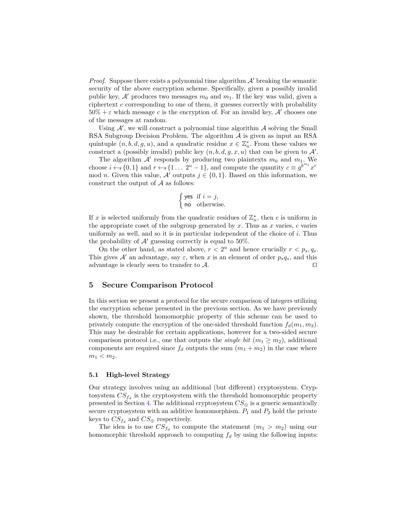*Proof.* Suppose there exists a polynomial time algorithm  $\mathcal{A}'$  breaking the semantic security of the above encryption scheme. Specifically, given a possibly invalid public key,  $A'$  produces two messages  $m_0$  and  $m_1$ . If the key was valid, given a ciphertext  $c$  corresponding to one of them, it guesses correctly with probability  $50\% + \varepsilon$  which message c is the encryption of. For an invalid key, A' chooses one of the messages at random.

Using  $A'$ , we will construct a polynomial time algorithm  $A$  solving the Small RSA Subgroup Decision Problem. The algorithm  $A$  is given as input an RSA quintuple  $(n, b, d, g, u)$ , and a quadratic residue  $x \in \mathbb{Z}_n^*$ . From these values we construct a (possibly invalid) public key  $(n, b, d, g, x, u)$  that can be given to  $\mathcal{A}'$ .

The algorithm  $A'$  responds by producing two plaintexts  $m_0$  and  $m_1$ . We choose  $i \leftarrow s \{0,1\}$  and  $r \leftarrow s \{1 \dots 2^u - 1\}$ , and compute the quantity  $c \equiv g^{b^{m_i}} x^r$ mod *n*. Given this value,  $A'$  outputs  $j \in \{0, 1\}$ . Based on this information, we construct the output of  $A$  as follows:

$$
\begin{cases}\n\text{yes} & \text{if } i = j, \\
\text{no} & \text{otherwise.}\n\end{cases}
$$

If x is selected uniformly from the quadratic residues of  $\mathbb{Z}_n^*$ , then c is uniform in the appropriate coset of the subgroup generated by  $x$ . Thus as  $x$  varies,  $c$  varies uniformly as well, and so it is in particular independent of the choice of  $i$ . Thus the probability of  $\mathcal{A}'$  guessing correctly is equal to 50%.

On the other hand, as stated above,  $r < 2^u$  and hence crucially  $r < p_s, q_s$ . This gives  $\mathcal{A}'$  an advantage, say  $\varepsilon$ , when x is an element of order  $p_s q_s$ , and this advantage is clearly seen to transfer to  $\mathcal{A}$ . □

## <span id="page-8-0"></span>**5 Secure Comparison Protocol**

In this section we present a protocol for the secure comparison of integers utilizing the encryption scheme presented in the previous section. As we have previously shown, the threshold homomorphic property of this scheme can be used to privately compute the encryption of the one-sided threshold function  $f_d(m_1, m_2)$ . This may be desirable for certain applications, however for a two-sided secure comparison protocol i.e., one that outputs the *single bit*  $(m_1 \ge m_2)$ , additional components are required since  $f_d$  outputs the sum  $(m_1 + m_2)$  in the case where  $m_1 < m_2$ .

#### **5.1 High-level Strategy**

Our strategy involves using an additional (but different) cryptosystem. Crypto<br>system  $\mathit{CS}_{f_d}$  is the cryptosystem with the threshold homomorphic property presented in Section [4.](#page-5-0) The additional cryptosystem  $CS_{\oplus}$  is a generic semantically secure cryptosystem with an additive homomorphism.  $P_1$  and  $P_2$  hold the private keys to  $CS_{f_d}$  and  $CS_{\oplus}$  respectively.

The idea is to use  $CS_{f_d}$  to compute the statement  $(m_1 > m_2)$  using our homomorphic threshold approach to computing  $f_d$  by using the following inputs: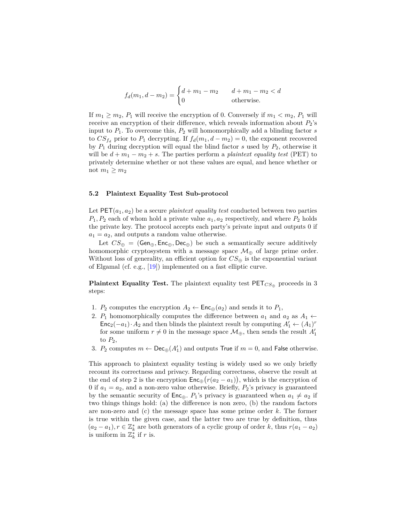$$
f_d(m_1, d - m_2) = \begin{cases} d + m_1 - m_2 & d + m_1 - m_2 < d \\ 0 & \text{otherwise.} \end{cases}
$$

If  $m_1 \geq m_2$ ,  $P_1$  will receive the encryption of 0. Conversely if  $m_1 < m_2$ ,  $P_1$  will receive an encryption of their difference, which reveals information about  $P_2$ 's input to  $P_1$ . To overcome this,  $P_2$  will homomorphically add a blinding factor s to  $CS_{f_d}$  prior to  $P_1$  decrypting. If  $f_d(m_1, d - m_2) = 0$ , the exponent recovered by  $P_1$  during decryption will equal the blind factor s used by  $P_2$ , otherwise it will be  $d + m_1 - m_2 + s$ . The parties perform a *plaintext equality test* (PET) to privately determine whether or not these values are equal, and hence whether or not  $m_1 \geq m_2$ 

## **5.2 Plaintext Equality Test Sub-protocol**

Let  $PET(a_1, a_2)$  be a secure *plaintext equality test* conducted between two parties  $P_1, P_2$  each of whom hold a private value  $a_1, a_2$  respectively, and where  $P_2$  holds the private key. The protocol accepts each party's private input and outputs 0 if  $a_1 = a_2$ , and outputs a random value otherwise.

Let  $CS_{\oplus} = (Gen_{\oplus}, Enc_{\oplus}, Dec_{\oplus})$  be such a semantically secure additively homomorphic cryptosystem with a message space  $\mathcal{M}_{\oplus}$  of large prime order. Without loss of generality, an efficient option for  $CS_{\oplus}$  is the exponential variant of Elgamal (cf. e.g., [\[19\]](#page-19-1)) implemented on a fast elliptic curve.

**Plaintext Equality Test.** The plaintext equality test  $PET_{CS}$  proceeds in 3 steps:

- 1.  $P_2$  computes the encryption  $A_2 \leftarrow \mathsf{Enc}_{\oplus}(a_2)$  and sends it to  $P_1$ ,
- 2.  $P_1$  homomorphically computes the difference between  $a_1$  and  $a_2$  as  $A_1 \leftarrow$  $\mathsf{Enc}_2(-a_1) \cdot A_2$  and then blinds the plaintext result by computing  $A'_1 \leftarrow (A_1)^r$ for some uniform  $r \neq 0$  in the message space  $\mathcal{M}_{\oplus}$ , then sends the result  $A'_1$ to  $P_2$ ,
- 3.  $P_2$  computes  $m \leftarrow \mathsf{Dec}_{\oplus}(A'_1)$  and outputs True if  $m = 0$ , and False otherwise.

This approach to plaintext equality testing is widely used so we only briefly recount its correctness and privacy. Regarding correctness, observe the result at the end of step 2 is the encryption  $\mathsf{Enc}_{\oplus}(r(a_2 - a_1)),$  which is the encryption of 0 if  $a_1 = a_2$ , and a non-zero value otherwise. Briefly,  $P_2$ 's privacy is guaranteed by the semantic security of  $\mathsf{Enc}_{\oplus}$ .  $P_1$ 's privacy is guaranteed when  $a_1 \neq a_2$  if two things things hold: (a) the difference is non zero, (b) the random factors are non-zero and  $(c)$  the message space has some prime order  $k$ . The former is true within the given case, and the latter two are true by definition, thus  $(a_2 - a_1)$ ,  $r \in \mathbb{Z}_k^*$  are both generators of a cyclic group of order k, thus  $r(a_1 - a_2)$ is uniform in  $\mathbb{Z}_k^*$  if r is.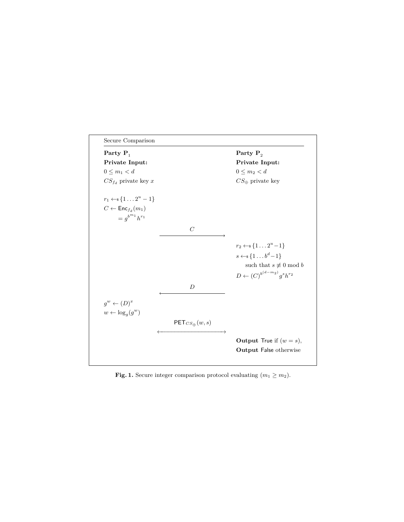

<span id="page-10-0"></span>**Fig. 1.** Secure integer comparison protocol evaluating  $(m_1 \ge m_2)$ .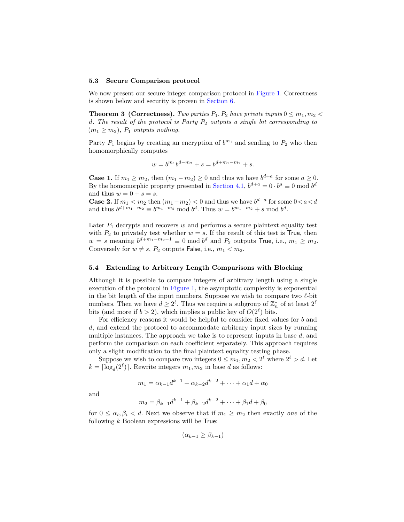#### **5.3 Secure Comparison protocol**

We now present our secure integer comparison protocol in [Figure 1.](#page-10-0) Correctness is shown below and security is proven in [Section 6.](#page-12-0)

**Theorem 3 (Correctness).** *Two parties*  $P_1, P_2$  *have private inputs*  $0 \leq m_1, m_2$ *. The result of the protocol is Party* <sup>2</sup> *outputs a single bit corresponding to*  $(m_1 \geq m_2)$ ,  $P_1$  *outputs nothing.* 

Party  $P_1$  begins by creating an encryption of  $b^{m_1}$  and sending to  $P_2$  who then homomorphically computes

$$
w = b^{m_1}b^{d-m_2} + s = b^{d+m_1-m_2} + s.
$$

**Case 1.** If  $m_1 \geq m_2$ , then  $(m_1 - m_2) \geq 0$  and thus we have  $b^{d+a}$  for some  $a \geq 0$ . By the homomorphic property presented in [Section 4.1,](#page-7-0)  $b^{d+a} = 0 \cdot b^a \equiv 0 \mod b^d$ and thus  $w = 0 + s = s$ .

**Case 2.** If  $m_1 < m_2$  then  $(m_1 - m_2) < 0$  and thus we have  $b^{d-a}$  for some  $0 < a < d$ and thus  $b^{d+m_1-m_2} \equiv b^{m_1-m_2} \mod b^d$ . Thus  $w = b^{m_1-m_2} + s \mod b^d$ .

Later  $P_1$  decrypts and recovers  $w$  and performs a secure plaintext equality test with  $P_2$  to privately test whether  $w = s$ . If the result of this test is True, then  $w = s$  meaning  $b^{d+m_1-m_2-1} \equiv 0 \mod b^d$  and  $P_2$  outputs True, i.e.,  $m_1 \geq m_2$ . Conversely for  $w \neq s$ ,  $P_2$  outputs False, i.e.,  $m_1 < m_2$ .

## <span id="page-11-0"></span>**5.4 Extending to Arbitrary Length Comparisons with Blocking**

Although it is possible to compare integers of arbitrary length using a single execution of the protocol in [Figure 1,](#page-10-0) the asymptotic complexity is exponential in the bit length of the input numbers. Suppose we wish to compare two *ℓ*-bit numbers. Then we have  $d \geq 2^{\ell}$ . Thus we require a subgroup of  $\mathbb{Z}_n^*$  of at least  $2^{\ell}$ bits (and more if  $b > 2$ ), which implies a public key of  $O(2^{\ell})$  bits.

For efficiency reasons it would be helpful to consider fixed values for  $b$  and , and extend the protocol to accommodate arbitrary input sizes by running multiple instances. The approach we take is to represent inputs in base  $d$ , and perform the comparison on each coefficient separately. This approach requires only a slight modification to the final plaintext equality testing phase.

Suppose we wish to compare two integers  $0 \leq m_1, m_2 < 2^{\ell}$  where  $2^{\ell} > d$ . Let  $k = \lceil \log_d(2^{\ell}) \rceil$ . Rewrite integers  $m_1, m_2$  in base d as follows:

$$
m_1 = \alpha_{k-1}d^{k-1} + \alpha_{k-2}d^{k-2} + \dots + \alpha_1d + \alpha_0
$$

and

$$
m_2 = \beta_{k-1}d^{k-1} + \beta_{k-2}d^{k-2} + \dots + \beta_1d + \beta_0
$$

for  $0 \leq \alpha_i, \beta_i < d$ . Next we observe that if  $m_1 \geq m_2$  then exactly *one* of the following  $k$  Boolean expressions will be True:

$$
(\alpha_{k-1} \ge \beta_{k-1})
$$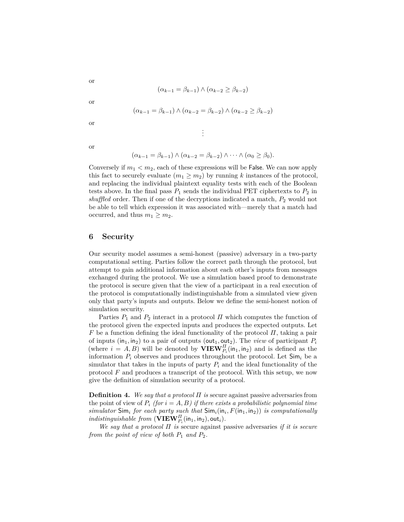$$
(\alpha_{k-1} = \beta_{k-1}) \wedge (\alpha_{k-2} \ge \beta_{k-2})
$$

or

or

$$
(\alpha_{k-1} = \beta_{k-1}) \wedge (\alpha_{k-2} = \beta_{k-2}) \wedge (\alpha_{k-2} \ge \beta_{k-2})
$$

. . .

or

or

$$
(\alpha_{k-1} = \beta_{k-1}) \wedge (\alpha_{k-2} = \beta_{k-2}) \wedge \cdots \wedge (\alpha_0 \ge \beta_0).
$$

Conversely if  $m_1 < m_2$ , each of these expressions will be False. We can now apply this fact to securely evaluate  $(m_1 \geq m_2)$  by running k instances of the protocol, and replacing the individual plaintext equality tests with each of the Boolean tests above. In the final pass  $P_1$  sends the individual PET ciphertexts to  $P_2$  in *shuffled* order. Then if one of the decryptions indicated a match,  $P_2$  would not be able to tell which expression it was associated with—merely that a match had occurred, and thus  $m_1 \geq m_2$ .

# <span id="page-12-0"></span>**6 Security**

Our security model assumes a semi-honest (passive) adversary in a two-party computational setting. Parties follow the correct path through the protocol, but attempt to gain additional information about each other's inputs from messages exchanged during the protocol. We use a simulation based proof to demonstrate the protocol is secure given that the view of a participant in a real execution of the protocol is computationally indistinguishable from a simulated view given only that party's inputs and outputs. Below we define the semi-honest notion of simulation security.

Parties  $P_1$  and  $P_2$  interact in a protocol  $\Pi$  which computes the function of the protocol given the expected inputs and produces the expected outputs. Let  $F$  be a function defining the ideal functionality of the protocol  $\Pi$ , taking a pair of inputs (in<sub>1</sub>, in<sub>2</sub>) to a pair of outputs (out<sub>1</sub>, out<sub>2</sub>). The *view* of participant  $P_i$ (where  $i = A, B$ ) will be denoted by  $\mathbf{VIEW}_{P_i}^H(\mathsf{in}_1, \mathsf{in}_2)$  and is defined as the information  $P_i$  observes and produces throughout the protocol. Let  $Sim_i$  be a simulator that takes in the inputs of party  $P_i$  and the ideal functionality of the protocol  $F$  and produces a transcript of the protocol. With this setup, we now give the definition of simulation security of a protocol.

**Definition 4.** We say that a protocol  $\Pi$  is secure against passive adversaries from the point of view of  $P_i$  (for  $i = A, B$ ) if there exists a probabilistic polynomial time  $simulator$  Sim<sub>*i*</sub> for each party such that  $Sim_i(in_i, F(in_1,in_2))$  *is computationally*  $\emph{indistinguishable from } (\widehat{\textbf{VIEW}}_{P_i}^H(\textsf{in}_1,\textsf{in}_2), \textsf{out}_i).$ 

*We say that a protocol*  $\Pi$  *is* secure against passive adversaries *if it is secure from the point of view of both*  $P_1$  *and*  $P_2$ *.*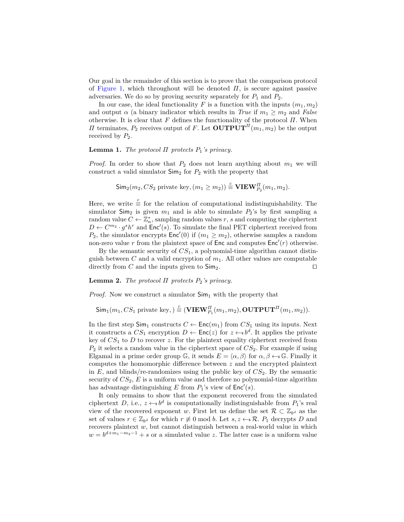Our goal in the remainder of this section is to prove that the comparison protocol of [Figure 1,](#page-10-0) which throughout will be denoted  $\Pi$ , is secure against passive adversaries. We do so by proving security separately for  $P_1$  and  $P_2$ .

In our case, the ideal functionality  $F$  is a function with the inputs  $(m_1, m_2)$ and output  $\alpha$  (a binary indicator which results in *True* if  $m_1 \geq m_2$  and *False* otherwise. It is clear that  $F$  defines the functionality of the protocol  $\Pi$ . When If terminates,  $P_2$  receives output of F. Let  $\text{OUTPUT}^{\Pi}(m_1, m_2)$  be the output received by  $P_2$ .

### **Lemma 1.** *The protocol*  $\Pi$  protects  $P_1$ 's privacy.

*Proof.* In order to show that  $P_2$  does not learn anything about  $m_1$  we will construct a valid simulator  $\mathsf{Sim}_2$  for  $P_2$  with the property that

$$
\mathsf{Sim}_2(m_2, CS_2 \text{ private key}, (m_1 \ge m_2)) \stackrel{c}{=} \mathbf{VIEW}_{P_2}^H(m_1, m_2).
$$

Here, we write  $\stackrel{c}{\equiv}$  for the relation of computational indistinguishability. The simulator  $\mathsf{Sim}_2$  is given  $m_1$  and is able to simulate  $P_2$ 's by first sampling a random value  $C \leftarrow \mathbb{Z}_n^*$ , sampling random values r, s and computing the ciphertext  $D \leftarrow C^{m_2} \cdot g^s h^r$  and  $\text{Enc}'(s)$ . To simulate the final PET ciphertext received from  $P_2$ , the simulator encrypts  $Enc'(0)$  if  $(m_1 \geq m_2)$ , otherwise samples a random non-zero value r from the plaintext space of  $\mathsf{Enc}$  and computes  $\mathsf{Enc}'(r)$  otherwise.

By the semantic security of  $CS<sub>1</sub>$ , a polynomial-time algorithm cannot distinguish between C and a valid encryption of  $m_1$ . All other values are computable directly from C and the inputs given to  $\mathsf{Sim}_2$ . □

## **Lemma 2.** *The protocol*  $\Pi$  protects  $P_2$ 's privacy.

*Proof.* Now we construct a simulator  $\mathsf{Sim}_1$  with the property that

 $\textsf{Sim}_1(m_1, CS_1 \text{ private key}, \text{)} \stackrel{c}{=} (\textbf{VIEW}_{P_1}^H(m_1, m_2), \textbf{OUTPUT}^H(m_1, m_2)).$ 

In the first step  $\textsf{Sim}_1$  constructs  $C \leftarrow \textsf{Enc}(m_1)$  from  $CS_1$  using its inputs. Next it constructs a  $CS_1$  encryption  $D \leftarrow \mathsf{Enc}(z)$  for  $z \leftarrow s b^d$ . It applies the private key of  $CS<sub>1</sub>$  to  $D$  to recover  $z$ . For the plaintext equality ciphertext received from  $P_2$  it selects a random value in the ciphertext space of  $CS_2$ . For example if using Elgamal in a prime order group G, it sends  $E = \langle \alpha, \beta \rangle$  for  $\alpha, \beta \leftarrow \mathcal{G}$ . Finally it computes the homomorphic difference between  $z$  and the encrypted plaintext in  $E$ , and blinds/re-randomizes using the public key of  $CS_2$ . By the semantic security of  $CS_2$ ,  $E$  is a uniform value and therefore no polynomial-time algorithm has advantage distinguishing E from  $P_1$ 's view of  $\mathsf{Enc}'(s)$ .

It only remains to show that the exponent recovered from the simulated ciphertext D, i.e.,  $z \leftarrow b^d$  is computationally indistinguishable from  $P_1$ 's real view of the recovered exponent w. First let us define the set  $\mathcal{R} \subset \mathbb{Z}_{b^d}$  as the set of values  $r \in \mathbb{Z}_{b^d}$  for which  $r \neq 0 \text{ mod } b$ . Let  $s, z \leftarrow s \mathcal{R}$ .  $P_1$  decrypts D and recovers plaintext  $w$ , but cannot distinguish between a real-world value in which  $w = b^{d+m_1-m_2-1} + s$  or a simulated value z. The latter case is a uniform value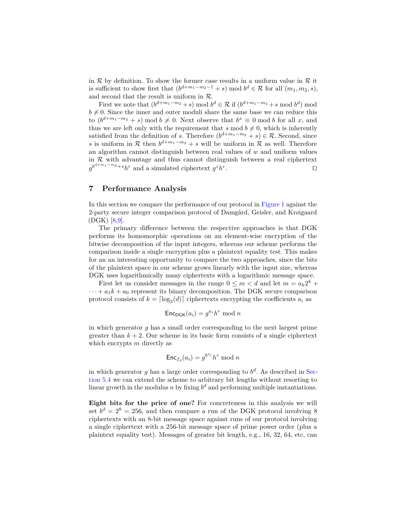in  $R$  by definition. To show the former case results in a uniform value in  $R$  it is sufficient to show first that  $(b^{d+m_1-m_2-1} + s) \mod b^d \in \mathcal{R}$  for all  $(m_1, m_2, s)$ , and second that the result is uniform in  $\mathcal{R}.$ 

First we note that  $(b^{d+m_1-m_2}+s) \mod b^d \in \mathcal{R}$  if  $(b^{d+m_1-m_2}+s \mod b^d) \mod b^d$  $b \neq 0$ . Since the inner and outer moduli share the same base we can reduce this to  $(b^{d+m_1-m_2} + s) \mod b \neq 0$ . Next observe that  $b^x \equiv 0 \mod b$  for all x, and thus we are left only with the requirement that  $s \mod b \neq 0$ , which is inherently satisfied from the definition of s. Therefore  $(b^{d+m_1-m_2} + s) \in \mathcal{R}$ . Second, since s is uniform in R then  $b^{d+m_1-m_2} + s$  will be uniform in R as well. Therefore an algorithm cannot distinguish between real values of  $w$  and uniform values in  $R$  with advantage and thus cannot distinguish between a real ciphertext  $g^{b^{d+m_1-m_2}+s}h^r$  and a simulated ciphertext  $g^zh^r$ . ⊓⊔

# <span id="page-14-0"></span>**7 Performance Analysis**

In this section we compare the performance of our protocol in [Figure 1](#page-10-0) against the 2-party secure integer comparison protocol of Damgård, Geisler, and Krøigaard  $(DGK)$  [\[8,](#page-18-0)[9\]](#page-18-1).

The primary difference between the respective approaches is that DGK performs its homomorphic operations on an element-wise encryption of the bitwise decomposition of the input integers, whereas our scheme performs the comparison inside a single encryption plus a plaintext equality test. This makes for an an interesting opportunity to compare the two approaches, since the bits of the plaintext space in our scheme grows linearly with the input size, whereas DGK uses logarithmically many ciphertexts with a logarithmic message space.

First let us consider messages in the range  $0 \le m < d$  and let  $m = a_k 2^k +$  $\cdots + a_1 k + a_0$  represent its binary decomposition. The DGK secure comparison protocol consists of  $k = \lceil \log_2(d) \rceil$  ciphertexts encrypting the coefficients  $a_i$  as

$$
\mathsf{Enc}_{\mathsf{DGK}}(a_i) = g^{a_i} h^r \bmod n
$$

in which generator  $g$  has a small order corresponding to the next largest prime greater than  $k + 2$ . Our scheme in its basic form consists of a single ciphertext which encrypts  $m$  directly as

$$
\operatorname{Enc}_{f_d}(a_i) = g^{b^{a_i}} h^r \bmod n
$$

in which generator g has a large order corresponding to  $b^d$ . As described in [Sec](#page-11-0)[tion 5.4](#page-11-0) we can extend the scheme to arbitrary bit lengths without resorting to linear growth in the modulus *n* by fixing  $b^d$  and performing multiple instantiations.

**Eight bits for the price of one?** For concreteness in this analysis we will set  $b^d = 2^8 = 256$ , and then compare a run of the DGK protocol involving 8 ciphertexts with an 8-bit message space against runs of our protocol involving a single ciphertext with a 256-bit message space of prime power order (plus a plaintext equality test). Messages of greater bit length, e.g., 16, 32, 64, etc, can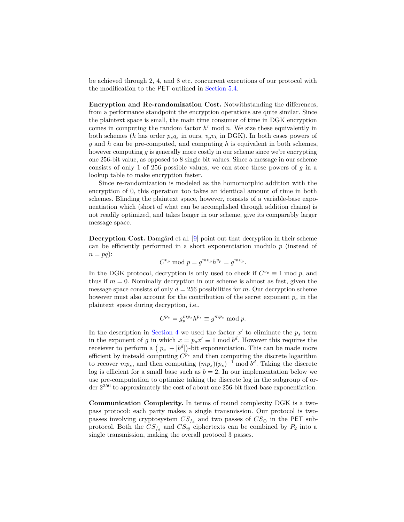be achieved through 2, 4, and 8 etc. concurrent executions of our protocol with the modification to the PET outlined in [Section 5.4.](#page-11-0)

**Encryption and Re-randomization Cost.** Notwithstanding the differences, from a performance standpoint the encryption operations are quite similar. Since the plaintext space is small, the main time consumer of time in DGK encryption comes in computing the random factor  $h^r$  mod  $n$ . We size these equivalently in both schemes (*h* has order  $p_s q_s$  in ours,  $v_p v_k$  in DGK). In both cases powers of and *ℎ* can be pre-computed, and computing *ℎ* is equivalent in both schemes, however computing  $g$  is generally more costly in our scheme since we're encrypting one 256-bit value, as opposed to 8 single bit values. Since a message in our scheme consists of only 1 of 256 possible values, we can store these powers of  $q$  in a lookup table to make encryption faster.

Since re-randomization is modeled as the homomorphic addition with the encryption of 0, this operation too takes an identical amount of time in both schemes. Blinding the plaintext space, however, consists of a variable-base exponentiation which (short of what can be accomplished through addition chains) is not readily optimized, and takes longer in our scheme, give its comparably larger message space.

**Decryption Cost.** Damgård et al. [\[9\]](#page-18-1) point out that decryption in their scheme can be efficiently performed in a short exponentiation modulo  $p$  (instead of  $n = pq$ :

$$
C^{v_p} \bmod p = g^{m v_p} h^{v_p} = g^{m v_p}.
$$

In the DGK protocol, decryption is only used to check if  $C^{v_p} \equiv 1 \mod p$ , and thus if  $m = 0$ . Nominally decryption in our scheme is almost as fast, given the message space consists of only  $d = 256$  possibilities for m. Our decryption scheme however must also account for the contribution of the secret exponent  $p_s$  in the plaintext space during decryption, i.e.,

$$
C^{p_s} = g_p^{mp_s} h^{p_s} \equiv g^{mp_s} \bmod p.
$$

In the description in [Section 4](#page-5-0) we used the factor  $x'$  to eliminate the  $p_s$  term in the exponent of g in which  $x = p_s x' \equiv 1 \mod b^d$ . However this requires the receiever to perform a  $(|p_s|+|b^d|)$ -bit exponentiation. This can be made more efficient by insteald computing  $C^{p_s}$  and then computing the discrete logarithm to recover  $mp_s$ , and then computing  $(mp_s)(p_s)^{-1}$  mod  $b^d$ . Taking the discrete log is efficient for a small base such as  $b = 2$ . In our implementation below we use pre-computation to optimize taking the discrete log in the subgroup of order 2 <sup>256</sup> to approximately the cost of about one 256-bit fixed-base exponentiation.

**Communication Complexity.** In terms of round complexity DGK is a twopass protocol: each party makes a single transmission. Our protocol is twopasses involving cryptosystem  $CS_{f_d}$  and two passes of  $CS_{\oplus}$  in the PET subprotocol. Both the  $CS_{f_d}$  and  $CS_{\oplus}$  ciphertexts can be combined by  $P_2$  into a single transmission, making the overall protocol 3 passes.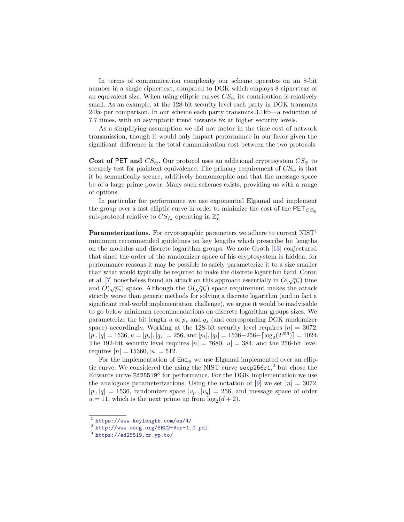In terms of communication complexity our scheme operates on an 8-bit number in a single ciphertext, compared to DGK which employs 8 ciphertexs of an equivalent size. When using elliptic curves  $CS_{\oplus}$  its contribution is relatively small. As an example, at the 128-bit security level each party in DGK transmits 24*kb* per comparison. In our scheme each party transmits 3.1kb—a reduction of 7.7 times, with an asymptotic trend towards 8x at higher security levels.

As a simplifying assumption we did not factor in the time cost of network transmission, though it would only impact performance in our favor given the significant difference in the total communication cost between the two protocols.

**Cost of PET and**  $CS_{\oplus}$ . Our protocol uses an additional cryptosystem  $CS_{\oplus}$  to securely test for plaintext equivalence. The primary requirement of  $CS_{\oplus}$  is that it be semantically secure, additively homomorphic and that the message space be of a large prime power. Many such schemes exists, providing us with a range of options.

In particular for performance we use exponential Elgamal and implement the group over a fast elliptic curve in order to minimize the cost of the  $PET<sub>CS<sub>fl</sub></sub>$ sub-protocol relative to  $CS_{f_d}$  operating in  $\mathbb{Z}_n^*$ 

**Parameterizations.** For cryptographic parameters we adhere to current  $NIST<sup>1</sup>$ minimum recommended guidelines on key lengths which prescribe bit lengths on the modulus and discrete logarithm groups. We note Groth [\[13\]](#page-19-11) conjectured that since the order of the randomizer space of his cryptosystem is hidden, for performance reasons it may be possible to safely parameterize it to a size smaller than what would typically be required to make the discrete logarithm hard. Coron et al. [\[7\]](#page-18-9) nonetheless found an attack on this approach essentially in  $O(\sqrt{p_s})$  time and  $O(\sqrt{p_s})$  space. Although the  $O(\sqrt{p_s})$  space requirement makes the attack strictly worse than generic methods for solving a discrete logarithm (and in fact a significant real-world implementation challenge), we argue it would be inadvisable to go below minimum recommendations on discrete logarithm groups sizes. We parameterize the bit length  $u$  of  $p_s$  and  $q_s$  (and corresponding DGK randomizer space) accordingly. Working at the 128-bit security level requires  $|n| = 3072$ .  $|p|, |q| = 1536, u = |p_s|, |q_s| = 256, \text{and } |p_t|, |q_t| = 1536 - 256 - \lfloor \log_2(2^{256}) \rfloor = 1024.$ The 192-bit security level requires  $|n| = 7680, |u| = 384$ , and the 256-bit level requires  $|n| = 15360, |u| = 512$ .

For the implementation of  $Enc_{\oplus}$  we use Elgamal implemented over an elliptic curve. We considered the using the NIST curve secp256r1, <sup>2</sup> but chose the Edwards curve Ed25519<sup>3</sup> for performance. For the DGK implementation we use the analogous parameterizations. Using the notation of [\[9\]](#page-18-1) we set  $|n| = 3072$ .  $|p|, |q| = 1536$ , randomizer space  $|v_p|, |v_q| = 256$ , and message space of order  $u = 11$ , which is the next prime up from  $\log_2(d+2)$ .

<sup>1</sup> <https://www.keylength.com/en/4/>

<sup>2</sup> <http://www.secg.org/SEC2-Ver-1.0.pdf>

<sup>3</sup> <https://ed25519.cr.yp.to/>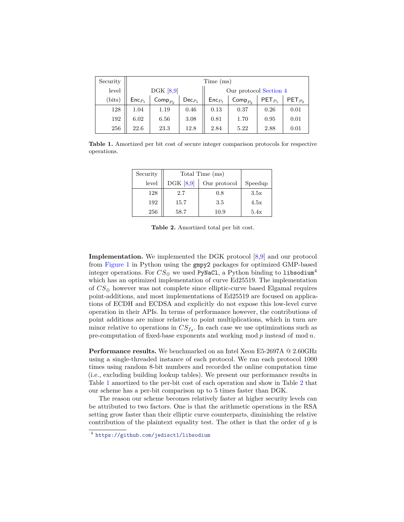| Security | Time (ms)   |                       |             |                        |                       |             |             |
|----------|-------------|-----------------------|-------------|------------------------|-----------------------|-------------|-------------|
| level    | DGK $[8,9]$ |                       |             | Our protocol Section 4 |                       |             |             |
| (bits)   | $Enc_{P_1}$ | $\mathsf{Comp}_{P_2}$ | $Dec_{P_1}$ | $Enc_{P_1}$            | $\mathsf{Comp}_{P_2}$ | $PET_{P_1}$ | $PET_{P_2}$ |
| 128      | 1.04        | 1.19                  | 0.46        | 0.13                   | 0.37                  | 0.26        | 0.01        |
| 192      | 6.02        | 6.56                  | 3.08        | 0.81                   | 1.70                  | 0.95        | 0.01        |
| 256      | 22.6        | 23.3                  | 12.8        | 2.84                   | 5.22                  | 2.88        | 0.01        |

<span id="page-17-0"></span>**Table 1.** Amortized per bit cost of secure integer comparison protocols for respective operations.

| Security | Total Time (ms) |              |         |
|----------|-----------------|--------------|---------|
| level    | DGK $[8,9]$     | Our protocol | Speedup |
| 128      | 2.7             | 0.8          | 3.5x    |
| 192      | 15.7            | 3.5          | 4.5x    |
| 256      | 58.7            | 10.9         | 5.4x    |

<span id="page-17-1"></span>**Table 2.** Amortized total per bit cost.

**Implementation.** We implemented the DGK protocol  $[8,9]$  $[8,9]$  and our protocol from [Figure 1](#page-10-0) in Python using the gmpy2 packages for optimized GMP-based integer operations. For  $CS_{\oplus}$  we used PyNaCl, a Python binding to libsodium<sup>4</sup> which has an optimized implementation of curve Ed25519. The implementation of  $CS_{\oplus}$  however was not complete since elliptic-curve based Elgamal requires point-additions, and most implementations of Ed25519 are focused on applications of ECDH and ECDSA and explicitly do not expose this low-level curve operation in their APIs. In terms of performance however, the contributions of point additions are minor relative to point multiplications, which in turn are minor relative to operations in  $CS_{f_d}$ . In each case we use optimizations such as pre-computation of fixed-base exponents and working mod  $p$  instead of mod  $n$ .

**Performance results.** We benchmarked on an Intel Xeon E5-2697A @ 2.60GHz using a single-threaded instance of each protocol. We ran each protocol 1000 times using random 8-bit numbers and recorded the online computation time (i.e., excluding building lookup tables). We present our performance results in Table [1](#page-17-0) amortized to the per-bit cost of each operation and show in Table [2](#page-17-1) that our scheme has a per-bit comparison up to 5 times faster than DGK.

The reason our scheme becomes relatively faster at higher security levels can be attributed to two factors. One is that the arithmetic operations in the RSA setting grow faster than their elliptic curve counterparts, diminishing the relative contribution of the plaintext equality test. The other is that the order of  $q$  is

<sup>4</sup> <https://github.com/jedisct1/libsodium>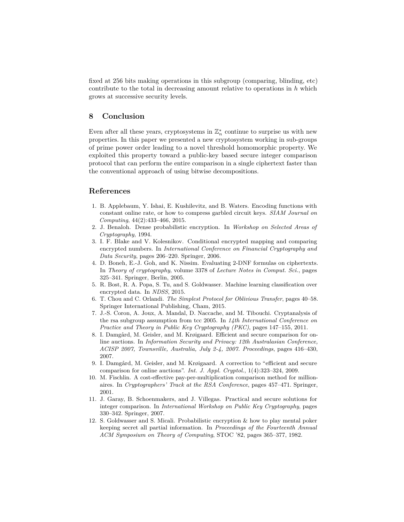fixed at 256 bits making operations in this subgroup (comparing, blinding, etc) contribute to the total in decreasing amount relative to operations in *ℎ* which grows at successive security levels.

# **8 Conclusion**

Even after all these years, cryptosystems in  $\mathbb{Z}_n^*$  continue to surprise us with new properties. In this paper we presented a new cryptosystem working in sub-groups of prime power order leading to a novel threshold homomorphic property. We exploited this property toward a public-key based secure integer comparison protocol that can perform the entire comparison in a single ciphertext faster than the conventional approach of using bitwise decompositions.

## **References**

- <span id="page-18-2"></span>1. B. Applebaum, Y. Ishai, E. Kushilevitz, and B. Waters. Encoding functions with constant online rate, or how to compress garbled circuit keys. *SIAM Journal on Computing*, 44(2):433–466, 2015.
- <span id="page-18-10"></span>2. J. Benaloh. Dense probabilistic encryption. In *Workshop on Selected Areas of Cryptography*, 1994.
- <span id="page-18-7"></span>3. I. F. Blake and V. Kolesnikov. Conditional encrypted mapping and comparing encrypted numbers. In *International Conference on Financial Cryptography and Data Security*, pages 206–220. Springer, 2006.
- <span id="page-18-11"></span>4. D. Boneh, E.-J. Goh, and K. Nissim. Evaluating 2-DNF formulas on ciphertexts. In *Theory of cryptography*, volume 3378 of *Lecture Notes in Comput. Sci.*, pages 325–341. Springer, Berlin, 2005.
- <span id="page-18-3"></span>5. R. Bost, R. A. Popa, S. Tu, and S. Goldwasser. Machine learning classification over encrypted data. In *NDSS*, 2015.
- <span id="page-18-4"></span>6. T. Chou and C. Orlandi. *The Simplest Protocol for Oblivious Transfer*, pages 40–58. Springer International Publishing, Cham, 2015.
- <span id="page-18-9"></span>7. J.-S. Coron, A. Joux, A. Mandal, D. Naccache, and M. Tibouchi. Cryptanalysis of the rsa subgroup assumption from tcc 2005. In *14th International Conference on Practice and Theory in Public Key Cryptography (PKC)*, pages 147–155, 2011.
- <span id="page-18-0"></span>8. I. Damgård, M. Geisler, and M. Krøigaard. Efficient and secure comparison for online auctions. In *Information Security and Privacy: 12th Australasian Conference, ACISP 2007, Townsville, Australia, July 2-4, 2007. Proceedings*, pages 416–430, 2007.
- <span id="page-18-1"></span>9. I. Damgård, M. Geisler, and M. Krøigaard. A correction to "efficient and secure comparison for online auctions". *Int. J. Appl. Cryptol.*, 1(4):323–324, 2009.
- <span id="page-18-5"></span>10. M. Fischlin. A cost-effective pay-per-multiplication comparison method for millionaires. In *Cryptographers' Track at the RSA Conference*, pages 457–471. Springer, 2001.
- <span id="page-18-8"></span>11. J. Garay, B. Schoenmakers, and J. Villegas. Practical and secure solutions for integer comparison. In *International Workshop on Public Key Cryptography*, pages 330–342. Springer, 2007.
- <span id="page-18-6"></span>12. S. Goldwasser and S. Micali. Probabilistic encryption & how to play mental poker keeping secret all partial information. In *Proceedings of the Fourteenth Annual ACM Symposium on Theory of Computing*, STOC '82, pages 365–377, 1982.